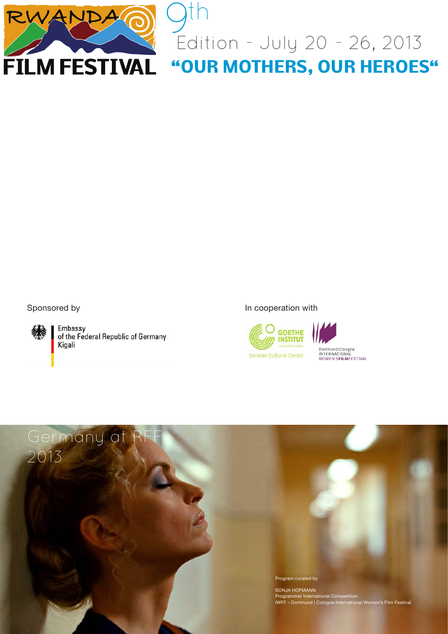

 $\frac{1}{2}$ Edition - July 20 - 26, 2013 **"OUR MOTHERS, OUR HEROES"** th



Embassy of the Federal Republic of Germany Kigali



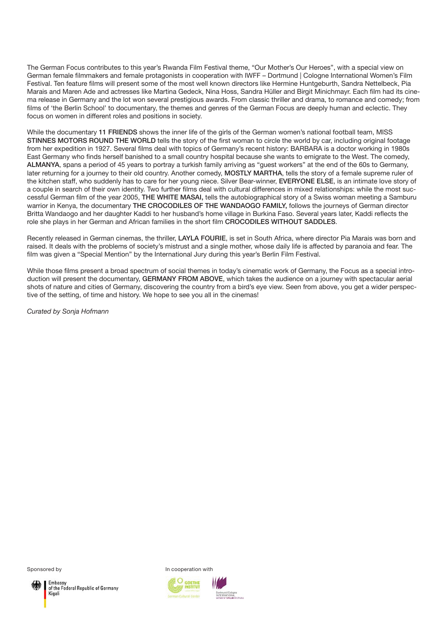The German Focus contributes to this year's Rwanda Film Festival theme, "Our Mother's Our Heroes", with a special view on German female filmmakers and female protagonists in cooperation with IWFF – Dortmund | Cologne International Women's Film Festival. Ten feature films will present some of the most well known directors like Hermine Huntgeburth, Sandra Nettelbeck, Pia Marais and Maren Ade and actresses like Martina Gedeck, Nina Hoss, Sandra Hüller and Birgit Minichmayr. Each film had its cinema release in Germany and the lot won several prestigious awards. From classic thriller and drama, to romance and comedy; from films of 'the Berlin School' to documentary, the themes and genres of the German Focus are deeply human and eclectic. They focus on women in different roles and positions in society.

While the documentary 11 FRIENDS shows the inner life of the girls of the German women's national football team, MISS STINNES MOTORS ROUND THE WORLD tells the story of the first woman to circle the world by car, including original footage from her expedition in 1927. Several films deal with topics of Germany's recent history: BARBARA is a doctor working in 1980s East Germany who finds herself banished to a small country hospital because she wants to emigrate to the West. The comedy, ALMANYA, spans a period of 45 years to portray a turkish family arriving as "guest workers" at the end of the 60s to Germany, later returning for a journey to their old country. Another comedy, MOSTLY MARTHA, tells the story of a female supreme ruler of the kitchen staff, who suddenly has to care for her young niece. Silver Bear-winner, EVERYONE ELSE, is an intimate love story of a couple in search of their own identity. Two further films deal with cultural differences in mixed relationships: while the most successful German film of the year 2005, THE WHITE MASAI, tells the autobiographical story of a Swiss woman meeting a Samburu warrior in Kenya, the documentary THE CROCODILES OF THE WANDAOGO FAMILY, follows the journeys of German director Britta Wandaogo and her daughter Kaddi to her husband's home village in Burkina Faso. Several years later, Kaddi reflects the role she plays in her German and African families in the short film CROCODILES WITHOUT SADDLES.

Recently released in German cinemas, the thriller, LAYLA FOURIE, is set in South Africa, where director Pia Marais was born and raised. It deals with the problems of society's mistrust and a single mother, whose daily life is affected by paranoia and fear. The film was given a "Special Mention" by the International Jury during this year's Berlin Film Festival.

While those films present a broad spectrum of social themes in today's cinematic work of Germany, the Focus as a special introduction will present the documentary, GERMANY FROM ABOVE, which takes the audience on a journey with spectacular aerial shots of nature and cities of Germany, discovering the country from a bird's eye view. Seen from above, you get a wider perspective of the setting, of time and history. We hope to see you all in the cinemas!

*Curated by Sonja Hofmann*

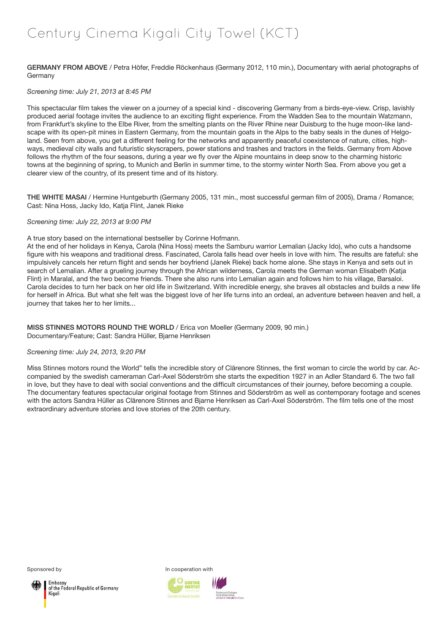# Century Cinema Kigali City Towel (KCT)

GERMANY FROM ABOVE / Petra Höfer, Freddie Röckenhaus (Germany 2012, 110 min.), Documentary with aerial photographs of **Germany** 

#### *Screening time: July 21, 2013 at 8:45 PM*

This spectacular film takes the viewer on a journey of a special kind - discovering Germany from a birds-eye-view. Crisp, lavishly produced aerial footage invites the audience to an exciting flight experience. From the Wadden Sea to the mountain Watzmann, from Frankfurt's skyline to the Elbe River, from the smelting plants on the River Rhine near Duisburg to the huge moon-like landscape with its open-pit mines in Eastern Germany, from the mountain goats in the Alps to the baby seals in the dunes of Helgoland. Seen from above, you get a different feeling for the networks and apparently peaceful coexistence of nature, cities, highways, medieval city walls and futuristic skyscrapers, power stations and trashes and tractors in the fields. Germany from Above follows the rhythm of the four seasons, during a year we fly over the Alpine mountains in deep snow to the charming historic towns at the beginning of spring, to Munich and Berlin in summer time, to the stormy winter North Sea. From above you get a clearer view of the country, of its present time and of its history.

THE WHITE MASAI / Hermine Huntgeburth (Germany 2005, 131 min., most successful german film of 2005), Drama / Romance; Cast: Nina Hoss, Jacky Ido, Katja Flint, Janek Rieke

#### *Screening time: July 22, 2013 at 9:00 PM*

#### A true story based on the international bestseller by Corinne Hofmann.

At the end of her holidays in Kenya, Carola (Nina Hoss) meets the Samburu warrior Lemalian (Jacky Ido), who cuts a handsome figure with his weapons and traditional dress. Fascinated, Carola falls head over heels in love with him. The results are fateful: she impulsively cancels her return flight and sends her boyfriend (Janek Rieke) back home alone. She stays in Kenya and sets out in search of Lemalian. After a grueling journey through the African wilderness, Carola meets the German woman Elisabeth (Katja Flint) in Maralal, and the two become friends. There she also runs into Lemalian again and follows him to his village, Barsaloi. Carola decides to turn her back on her old life in Switzerland. With incredible energy, she braves all obstacles and builds a new life for herself in Africa. But what she felt was the biggest love of her life turns into an ordeal, an adventure between heaven and hell, a journey that takes her to her limits...

MISS STINNES MOTORS ROUND THE WORLD / Erica von Moeller (Germany 2009, 90 min.) Documentary/Feature; Cast: Sandra Hüller, Bjarne Henriksen

#### *Screening time: July 24, 2013, 9:20 PM*

Miss Stinnes motors round the World" tells the incredible story of Clärenore Stinnes, the first woman to circle the world by car. Accompanied by the swedish cameraman Carl-Axel Söderström she starts the expedition 1927 in an Adler Standard 6. The two fall in love, but they have to deal with social conventions and the difficult circumstances of their journey, before becoming a couple. The documentary features spectacular original footage from Stinnes and Söderström as well as contemporary footage and scenes with the actors Sandra Hüller as Clärenore Stinnes and Bjarne Henriksen as Carl-Axel Söderström. The film tells one of the most extraordinary adventure stories and love stories of the 20th century.



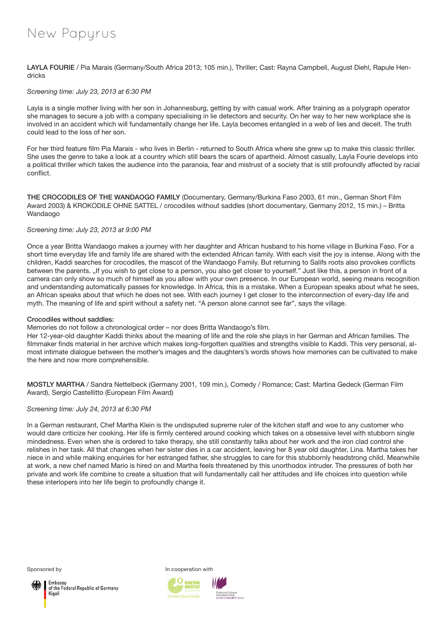## New Papyrus

LAYLA FOURIE / Pia Marais (Germany/South Africa 2013; 105 min.), Thriller; Cast: Rayna Campbell, August Diehl, Rapule Hendricks

#### *Screening time: July 23, 2013 at 6:30 PM*

Layla is a single mother living with her son in Johannesburg, getting by with casual work. After training as a polygraph operator she manages to secure a job with a company specialising in lie detectors and security. On her way to her new workplace she is involved in an accident which will fundamentally change her life. Layla becomes entangled in a web of lies and deceit. The truth could lead to the loss of her son.

For her third feature film Pia Marais - who lives in Berlin - returned to South Africa where she grew up to make this classic thriller. She uses the genre to take a look at a country which still bears the scars of apartheid. Almost casually, Layla Fourie develops into a political thriller which takes the audience into the paranoia, fear and mistrust of a society that is still profoundly affected by racial conflict.

THE CROCODILES OF THE WANDAOGO FAMILY (Documentary, Germany/Burkina Faso 2003, 61 min., German Short Film Award 2003) & KROKODILE OHNE SATTEL / crocodiles without saddles (short documentary, Germany 2012, 15 min.) – Britta Wandaogo

#### *Screening time: July 23, 2013 at 9:00 PM*

Once a year Britta Wandaogo makes a journey with her daughter and African husband to his home village in Burkina Faso. For a short time everyday life and family life are shared with the extended African family. With each visit the joy is intense. Along with the children, Kaddi searches for crocodiles, the mascot of the Wandaogo Family. But returning to Salifs roots also provokes conflicts between the parents. "If you wish to get close to a person, you also get closer to yourself." Just like this, a person in front of a camera can only show so much of himself as you allow with your own presence. In our European world, seeing means recognition and understanding automatically passes for knowledge. In Africa, this is a mistake. When a European speaks about what he sees, an African speaks about that which he does not see. With each journey I get closer to the interconnection of every-day life and myth. The meaning of life and spirit without a safety net. "A person alone cannot see far", says the village.

#### Crocodiles without saddles:

Memories do not follow a chronological order – nor does Britta Wandaogo's film.

Her 12-year-old daughter Kaddi thinks about the meaning of life and the role she plays in her German and African families. The filmmaker finds material in her archive which makes long-forgotten qualities and strengths visible to Kaddi. This very personal, almost intimate dialogue between the mother's images and the daughters's words shows how memories can be cultivated to make the here and now more comprehensible.

MOSTLY MARTHA / Sandra Nettelbeck (Germany 2001, 109 min.), Comedy / Romance; Cast: Martina Gedeck (German Film Award), Sergio Castellitto (European Film Award)

#### *Screening time: July 24, 2013 at 6:30 PM*

In a German restaurant, Chef Martha Klein is the undisputed supreme ruler of the kitchen staff and woe to any customer who would dare criticize her cooking. Her life is firmly centered around cooking which takes on a obsessive level with stubborn single mindedness. Even when she is ordered to take therapy, she still constantly talks about her work and the iron clad control she relishes in her task. All that changes when her sister dies in a car accident, leaving her 8 year old daughter, Lina. Martha takes her niece in and while making enquiries for her estranged father, she struggles to care for this stubbornly headstrong child. Meanwhile at work, a new chef named Mario is hired on and Martha feels threatened by this unorthodox intruder. The pressures of both her private and work life combine to create a situation that will fundamentally call her attitudes and life choices into question while these interlopers into her life begin to profoundly change it.



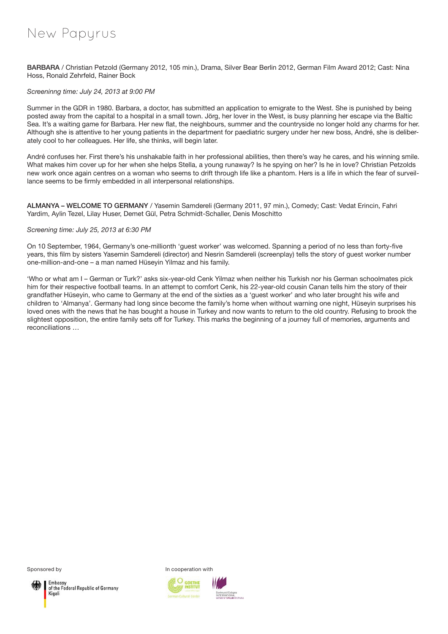## New Papyrus

BARBARA / Christian Petzold (Germany 2012, 105 min.), Drama, Silver Bear Berlin 2012, German Film Award 2012; Cast: Nina Hoss, Ronald Zehrfeld, Rainer Bock

#### *Screeninng time: July 24, 2013 at 9:00 PM*

Summer in the GDR in 1980. Barbara, a doctor, has submitted an application to emigrate to the West. She is punished by being posted away from the capital to a hospital in a small town. Jörg, her lover in the West, is busy planning her escape via the Baltic Sea. It's a waiting game for Barbara. Her new flat, the neighbours, summer and the countryside no longer hold any charms for her. Although she is attentive to her young patients in the department for paediatric surgery under her new boss, André, she is deliberately cool to her colleagues. Her life, she thinks, will begin later.

André confuses her. First there's his unshakable faith in her professional abilities, then there's way he cares, and his winning smile. What makes him cover up for her when she helps Stella, a young runaway? Is he spying on her? Is he in love? Christian Petzolds new work once again centres on a woman who seems to drift through life like a phantom. Hers is a life in which the fear of surveillance seems to be firmly embedded in all interpersonal relationships.

ALMANYA – WELCOME TO GERMANY / Yasemin Samdereli (Germany 2011, 97 min.), Comedy; Cast: Vedat Erincin, Fahri Yardim, Aylin Tezel, Lilay Huser, Demet Gül, Petra Schmidt-Schaller, Denis Moschitto

#### *Screening time: July 25, 2013 at 6:30 PM*

On 10 September, 1964, Germany's one-millionth 'guest worker' was welcomed. Spanning a period of no less than forty-five years, this film by sisters Yasemin Samdereli (director) and Nesrin Samdereli (screenplay) tells the story of guest worker number one-million-and-one – a man named Hüseyin Yilmaz and his family.

'Who or what am I – German or Turk?' asks six-year-old Cenk Yilmaz when neither his Turkish nor his German schoolmates pick him for their respective football teams. In an attempt to comfort Cenk, his 22-year-old cousin Canan tells him the story of their grandfather Hüseyin, who came to Germany at the end of the sixties as a 'guest worker' and who later brought his wife and children to 'Almanya'. Germany had long since become the family's home when without warning one night, Hüseyin surprises his loved ones with the news that he has bought a house in Turkey and now wants to return to the old country. Refusing to brook the slightest opposition, the entire family sets off for Turkey. This marks the beginning of a journey full of memories, arguments and reconciliations …